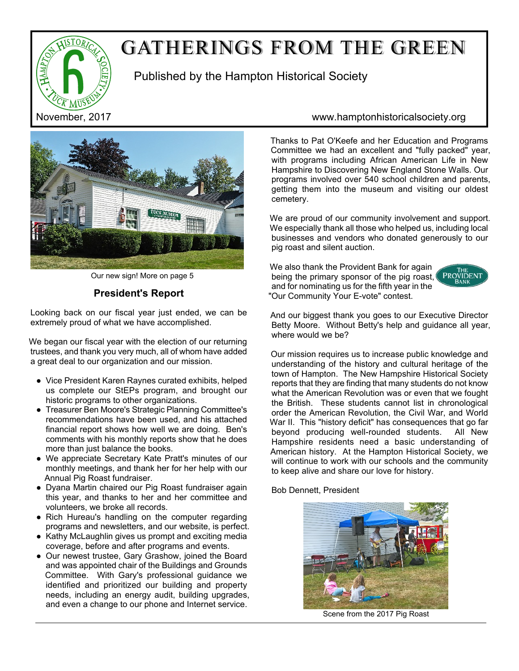

# GATHERINGS FROM THE GREEN

Published by the Hampton Historical Society



Our new sign! More on page 5

# **President's Report**

Looking back on our fiscal year just ended, we can be extremely proud of what we have accomplished.

We began our fiscal year with the election of our returning trustees, and thank you very much, all of whom have added a great deal to our organization and our mission.

- Vice President Karen Raynes curated exhibits, helped us complete our StEPs program, and brought our historic programs to other organizations.
- Treasurer Ben Moore's Strategic Planning Committee's recommendations have been used, and his attached financial report shows how well we are doing. Ben's comments with his monthly reports show that he does more than just balance the books.
- We appreciate Secretary Kate Pratt's minutes of our monthly meetings, and thank her for her help with our Annual Pig Roast fundraiser.
- Dyana Martin chaired our Pig Roast fundraiser again this year, and thanks to her and her committee and volunteers, we broke all records.
- Rich Hureau's handling on the computer regarding programs and newsletters, and our website, is perfect.
- Kathy McLaughlin gives us prompt and exciting media coverage, before and after programs and events.
- Our newest trustee, Gary Grashow, joined the Board and was appointed chair of the Buildings and Grounds Committee. With Gary's professional guidance we identified and prioritized our building and property needs, including an energy audit, building upgrades, and even a change to our phone and Internet service.

## November, 2017 www.hamptonhistoricalsociety.org

Thanks to Pat O'Keefe and her Education and Programs Committee we had an excellent and "fully packed" year, with programs including African American Life in New Hampshire to Discovering New England Stone Walls. Our programs involved over 540 school children and parents, getting them into the museum and visiting our oldest cemetery.

We are proud of our community involvement and support. We especially thank all those who helped us, including local businesses and vendors who donated generously to our pig roast and silent auction.

We also thank the Provident Bank for again being the primary sponsor of the pig roast, and for nominating us for the fifth year in the "Our Community Your E-vote" contest.



And our biggest thank you goes to our Executive Director Betty Moore. Without Betty's help and guidance all year, where would we be?

Our mission requires us to increase public knowledge and understanding of the history and cultural heritage of the town of Hampton. The New Hampshire Historical Society reports that they are finding that many students do not know what the American Revolution was or even that we fought the British. These students cannot list in chronological order the American Revolution, the Civil War, and World War II. This "history deficit" has consequences that go far beyond producing well-rounded students. All New Hampshire residents need a basic understanding of American history. At the Hampton Historical Society, we will continue to work with our schools and the community to keep alive and share our love for history.

Bob Dennett, President



Scene from the 2017 Pig Roast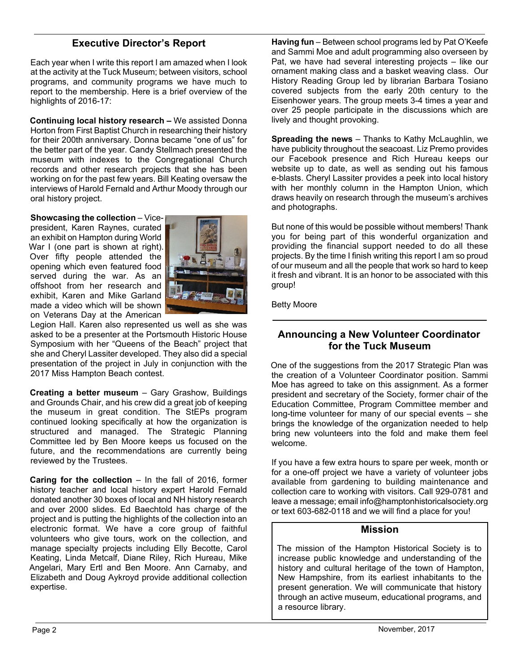## **Executive Director's Report**

Each year when I write this report I am amazed when I look at the activity at the Tuck Museum; between visitors, school programs, and community programs we have much to report to the membership. Here is a brief overview of the highlights of 2016-17:

**Continuing local history research –** We assisted Donna Horton from First Baptist Church in researching their history for their 200th anniversary. Donna became "one of us" for the better part of the year. Candy Stellmach presented the museum with indexes to the Congregational Church records and other research projects that she has been working on for the past few years. Bill Keating oversaw the interviews of Harold Fernald and Arthur Moody through our oral history project.

**Showcasing the collection** – Vicepresident, Karen Raynes, curated an exhibit on Hampton during World War I (one part is shown at right). Over fifty people attended the opening which even featured food served during the war. As an offshoot from her research and exhibit, Karen and Mike Garland made a video which will be shown on Veterans Day at the American



Legion Hall. Karen also represented us well as she was asked to be a presenter at the Portsmouth Historic House Symposium with her "Queens of the Beach" project that she and Cheryl Lassiter developed. They also did a special presentation of the project in July in conjunction with the 2017 Miss Hampton Beach contest.

**Creating a better museum** – Gary Grashow, Buildings and Grounds Chair, and his crew did a great job of keeping the museum in great condition. The StEPs program continued looking specifically at how the organization is structured and managed. The Strategic Planning Committee led by Ben Moore keeps us focused on the future, and the recommendations are currently being reviewed by the Trustees.

**Caring for the collection – In the fall of 2016, former** history teacher and local history expert Harold Fernald donated another 30 boxes of local and NH history research and over 2000 slides. Ed Baechtold has charge of the project and is putting the highlights of the collection into an electronic format. We have a core group of faithful volunteers who give tours, work on the collection, and manage specialty projects including Elly Becotte, Carol Keating, Linda Metcalf, Diane Riley, Rich Hureau, Mike Angelari, Mary Ertl and Ben Moore. Ann Carnaby, and Elizabeth and Doug Aykroyd provide additional collection expertise.

**Having fun** – Between school programs led by Pat O'Keefe and Sammi Moe and adult programming also overseen by Pat, we have had several interesting projects – like our ornament making class and a basket weaving class. Our History Reading Group led by librarian Barbara Tosiano covered subjects from the early 20th century to the Eisenhower years. The group meets 3-4 times a year and over 25 people participate in the discussions which are lively and thought provoking.

**Spreading the news** – Thanks to Kathy McLaughlin, we have publicity throughout the seacoast. Liz Premo provides our Facebook presence and Rich Hureau keeps our website up to date, as well as sending out his famous e-blasts. Cheryl Lassiter provides a peek into local history with her monthly column in the Hampton Union, which draws heavily on research through the museum's archives and photographs.

But none of this would be possible without members! Thank you for being part of this wonderful organization and providing the financial support needed to do all these projects. By the time I finish writing this report I am so proud of our museum and all the people that work so hard to keep it fresh and vibrant. It is an honor to be associated with this group!

Betty Moore

## **Announcing a New Volunteer Coordinator for the Tuck Museum**

One of the suggestions from the 2017 Strategic Plan was the creation of a Volunteer Coordinator position. Sammi Moe has agreed to take on this assignment. As a former president and secretary of the Society, former chair of the Education Committee, Program Committee member and long-time volunteer for many of our special events – she brings the knowledge of the organization needed to help bring new volunteers into the fold and make them feel welcome.

If you have a few extra hours to spare per week, month or for a one-off project we have a variety of volunteer jobs available from gardening to building maintenance and collection care to working with visitors. Call 929-0781 and leave a message; email info@hamptonhistoricalsociety.org or text 603-682-0118 and we will find a place for you!

#### **Mission**

The mission of the Hampton Historical Society is to increase public knowledge and understanding of the history and cultural heritage of the town of Hampton, New Hampshire, from its earliest inhabitants to the present generation. We will communicate that history through an active museum, educational programs, and a resource library.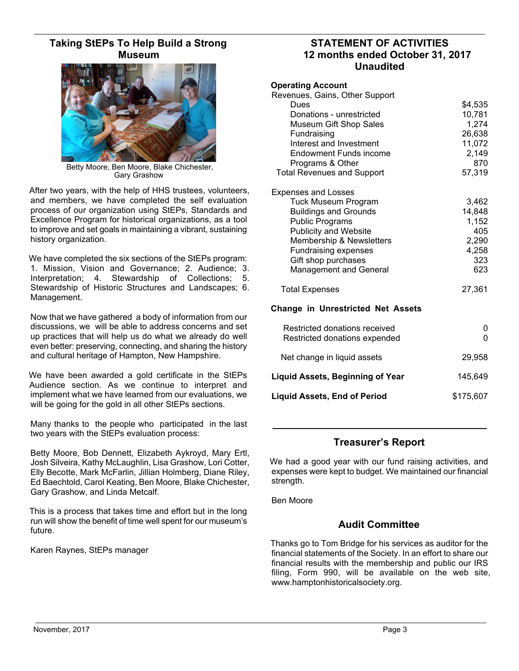## **Taking StEPs To Help Build a Strong Museum**



Betty Moore, Ben Moore, Blake Chichester, Gary Grashow

After two years, with the help of HHS trustees, volunteers, and members, we have completed the self evaluation process of our organization using StEPs, Standards and Excellence Program for historical organizations, as a tool to improve and set goals in maintaining a vibrant, sustaining history organization.

We have completed the six sections of the StEPs program: 1. Mission, Vision and Governance; 2. Audience; 3. Interpretation; 4. Stewardship of Collections; 5. Stewardship of Historic Structures and Landscapes; 6. Management.

Now that we have gathered a body of information from our discussions, we will be able to address concerns and set up practices that will help us do what we already do well even better: preserving, connecting, and sharing the history and cultural heritage of Hampton, New Hampshire.

We have been awarded a gold certificate in the StEPs Audience section. As we continue to interpret and implement what we have learned from our evaluations, we will be going for the gold in all other StEPs sections.

Many thanks to the people who participated in the last two years with the StEPs evaluation process:

Betty Moore, Bob Dennett, Elizabeth Aykroyd, Mary Ertl, Josh Silveira, Kathy McLaughlin, Lisa Grashow, Lori Cotter, Elly Becotte, Mark McFarlin, Jillian Holmberg, Diane Riley, Ed Baechtold, Carol Keating, Ben Moore, Blake Chichester, Gary Grashow, and Linda Metcalf.

This is a process that takes time and effort but in the long run will show the benefit of time well spent for our museum's future.

Karen Raynes, StEPs manager

### **STATEMENT OF ACTIVITIES 12 months ended October 31, 2017 Unaudited**

| <b>Operating Account</b><br>Revenues, Gains, Other Support<br>Dues<br>Donations - unrestricted<br>Museum Gift Shop Sales<br>Fundraising<br>Interest and Investment<br><b>Endowment Funds income</b>                                                                   | \$4,535<br>10,781<br>1,274<br>26,638<br>11,072<br>2,149         |
|-----------------------------------------------------------------------------------------------------------------------------------------------------------------------------------------------------------------------------------------------------------------------|-----------------------------------------------------------------|
| Programs & Other                                                                                                                                                                                                                                                      | 870                                                             |
| <b>Total Revenues and Support</b>                                                                                                                                                                                                                                     | 57,319                                                          |
| <b>Expenses and Losses</b><br><b>Tuck Museum Program</b><br><b>Buildings and Grounds</b><br><b>Public Programs</b><br><b>Publicity and Website</b><br>Membership & Newsletters<br><b>Fundraising expenses</b><br>Gift shop purchases<br><b>Management and General</b> | 3,462<br>14,848<br>1,152<br>405<br>2,290<br>4,258<br>323<br>623 |
| <b>Total Expenses</b>                                                                                                                                                                                                                                                 | 27,361                                                          |
| <b>Change in Unrestricted Net Assets</b>                                                                                                                                                                                                                              |                                                                 |
| Restricted donations received<br>Restricted donations expended                                                                                                                                                                                                        | 0<br>0                                                          |
| Net change in liquid assets                                                                                                                                                                                                                                           | 29,958                                                          |
| <b>Liquid Assets, Beginning of Year</b>                                                                                                                                                                                                                               | 145,649                                                         |
| <b>Liquid Assets, End of Period</b>                                                                                                                                                                                                                                   | \$175,607                                                       |

## **Treasurer's Report**

We had a good year with our fund raising activities, and expenses were kept to budget. We maintained our financial strength.

Ben Moore

## **Audit Committee**

Thanks go to Tom Bridge for his services as auditor for the financial statements of the Society. In an effort to share our financial results with the membership and public our IRS filing, Form 990, will be available on the web site, www.hamptonhistoricalsociety.org.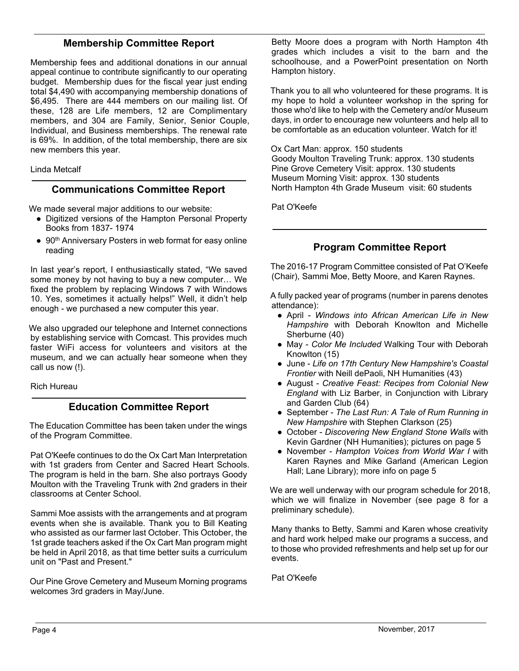## **Membership Committee Report**

Membership fees and additional donations in our annual appeal continue to contribute significantly to our operating budget. Membership dues for the fiscal year just ending total \$4,490 with accompanying membership donations of \$6,495. There are 444 members on our mailing list. Of these, 128 are Life members, 12 are Complimentary members, and 304 are Family, Senior, Senior Couple, Individual, and Business memberships. The renewal rate is 69%. In addition, of the total membership, there are six new members this year.

Linda Metcalf

#### **Communications Committee Report**

We made several major additions to our website:

- Digitized versions of the Hampton Personal Property Books from 1837- 1974
- 90<sup>th</sup> Anniversary Posters in web format for easy online reading

In last year's report, I enthusiastically stated, "We saved some money by not having to buy a new computer… We fixed the problem by replacing Windows 7 with Windows 10. Yes, sometimes it actually helps!" Well, it didn't help enough - we purchased a new computer this year.

We also upgraded our telephone and Internet connections by establishing service with Comcast. This provides much faster WiFi access for volunteers and visitors at the museum, and we can actually hear someone when they call us now (!).

Rich Hureau

## **Education Committee Report**

The Education Committee has been taken under the wings of the Program Committee.

Pat O'Keefe continues to do the Ox Cart Man Interpretation with 1st graders from Center and Sacred Heart Schools. The program is held in the barn. She also portrays Goody Moulton with the Traveling Trunk with 2nd graders in their classrooms at Center School.

Sammi Moe assists with the arrangements and at program events when she is available. Thank you to Bill Keating who assisted as our farmer last October. This October, the 1st grade teachers asked if the Ox Cart Man program might be held in April 2018, as that time better suits a curriculum unit on "Past and Present."

Our Pine Grove Cemetery and Museum Morning programs welcomes 3rd graders in May/June.

Betty Moore does a program with North Hampton 4th grades which includes a visit to the barn and the schoolhouse, and a PowerPoint presentation on North Hampton history.

Thank you to all who volunteered for these programs. It is my hope to hold a volunteer workshop in the spring for those who'd like to help with the Cemetery and/or Museum days, in order to encourage new volunteers and help all to be comfortable as an education volunteer. Watch for it!

Ox Cart Man: approx. 150 students

Goody Moulton Traveling Trunk: approx. 130 students Pine Grove Cemetery Visit: approx. 130 students Museum Morning Visit: approx. 130 students North Hampton 4th Grade Museum visit: 60 students

Pat O'Keefe

## **Program Committee Report**

The 2016-17 Program Committee consisted of Pat O'Keefe (Chair), Sammi Moe, Betty Moore, and Karen Raynes.

A fully packed year of programs (number in parens denotes attendance):

- April *Windows into African American Life in New Hampshire* with Deborah Knowlton and Michelle Sherburne (40)
- May *Color Me Included* Walking Tour with Deborah Knowlton (15)
- June *Life on 17th Century New Hampshire's Coastal Frontier* with Neill dePaoli, NH Humanities (43)
- August *Creative Feast: Recipes from Colonial New England* with Liz Barber, in Conjunction with Library and Garden Club (64)
- September *The Last Run: A Tale of Rum Running in New Hampshire* with Stephen Clarkson (25)
- October *Discovering New England Stone Walls* with Kevin Gardner (NH Humanities); pictures on page 5
- November *Hampton Voices from World War I* with Karen Raynes and Mike Garland (American Legion Hall; Lane Library); more info on page 5

We are well underway with our program schedule for 2018, which we will finalize in November (see page 8 for a preliminary schedule).

Many thanks to Betty, Sammi and Karen whose creativity and hard work helped make our programs a success, and to those who provided refreshments and help set up for our events.

Pat O'Keefe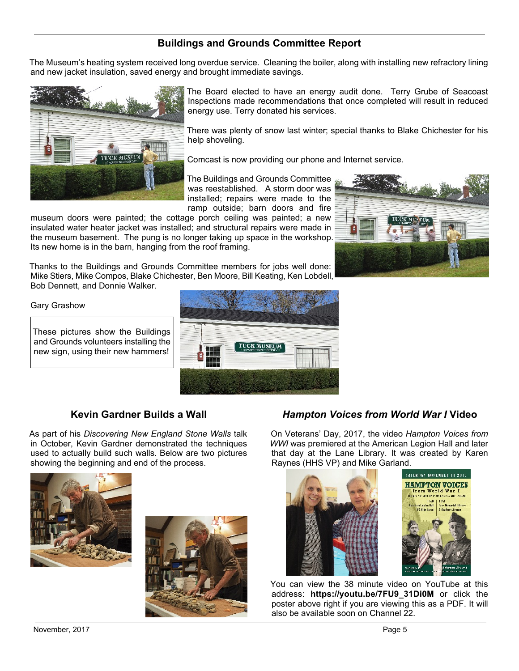# **Buildings and Grounds Committee Report**

The Museum's heating system received long overdue service. Cleaning the boiler, along with installing new refractory lining and new jacket insulation, saved energy and brought immediate savings.



The Board elected to have an energy audit done. Terry Grube of Seacoast Inspections made recommendations that once completed will result in reduced energy use. Terry donated his services.

There was plenty of snow last winter; special thanks to Blake Chichester for his help shoveling.

Comcast is now providing our phone and Internet service.

The Buildings and Grounds Committee was reestablished. A storm door was installed; repairs were made to the ramp outside; barn doors and fire

museum doors were painted; the cottage porch ceiling was painted; a new insulated water heater jacket was installed; and structural repairs were made in the museum basement. The pung is no longer taking up space in the workshop. Its new home is in the barn, hanging from the roof framing.



Thanks to the Buildings and Grounds Committee members for jobs well done: Mike Stiers, Mike Compos, Blake Chichester, Ben Moore, Bill Keating, Ken Lobdell, Bob Dennett, and Donnie Walker.

Gary Grashow

These pictures show the Buildings and Grounds volunteers installing the new sign, using their new hammers!



# **Kevin Gardner Builds a Wall**

As part of his *Discovering New England Stone Walls* talk in October, Kevin Gardner demonstrated the techniques used to actually build such walls. Below are two pictures showing the beginning and end of the process.





# *Hampton Voices from World War I* **Video**

On Veterans' Day, 2017, the video *Hampton Voices from WWI* was premiered at the American Legion Hall and later that day at the Lane Library. It was created by Karen Raynes (HHS VP) and Mike Garland.



You can view the 38 minute video on YouTube at this address: **https://youtu.be/7FU9\_31Di0M** or click the poster above right if you are viewing this as a PDF. It will also be available soon on Channel 22.

November, 2017 **Page 5**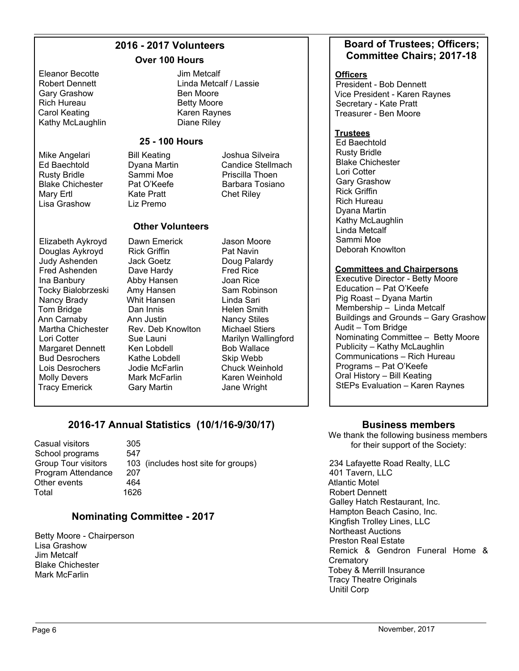## **2016 - 2017 Volunteers**

#### **Over 100 Hours**

Eleanor Becotte Robert Dennett Gary Grashow Rich Hureau Carol Keating Kathy McLaughlin

Mike Angelari Ed Baechtold Rusty Bridle Blake Chichester Mary Ertl Lisa Grashow

Jim Metcalf Linda Metcalf / Lassie Ben Moore Betty Moore Karen Raynes Diane Riley

#### **25 - 100 Hours**

Bill Keating Dyana Martin Sammi Moe Pat O'Keefe Kate Pratt Liz Premo

Joshua Silveira Candice Stellmach Priscilla Thoen Barbara Tosiano Chet Riley

#### **Other Volunteers**

Dawn Emerick Rick Griffin Jack Goetz Dave Hardy Abby Hansen Amy Hansen Whit Hansen Dan Innis Ann Justin

Sue Launi Ken Lobdell Kathe Lobdell

Mark McFarlin Gary Martin

Elizabeth Aykroyd Douglas Aykroyd Judy Ashenden Fred Ashenden Ina Banbury Tocky Bialobrzeski Nancy Brady Tom Bridge Ann Carnaby Martha Chichester Lori Cotter Margaret Dennett Bud Desrochers Lois Desrochers Molly Devers Tracy Emerick

Rev. Deb Knowlton Jodie McFarlin Jason Moore Pat Navin Doug Palardy Fred Rice Joan Rice Sam Robinson Linda Sari Helen Smith Nancy Stiles Michael Stiers Marilyn Wallingford Bob Wallace Skip Webb Chuck Weinhold Karen Weinhold Jane Wright

# **2016-17 Annual Statistics (10/1/16-9/30/17)**

Casual visitors 305<br>School programs 547 School programs Program Attendance 207 Other events 464 Total 1626

Group Tour visitors 103 (includes host site for groups)

# **Nominating Committee - 2017**

Betty Moore - Chairperson Lisa Grashow Jim Metcalf Blake Chichester Mark McFarlin

#### **Board of Trustees; Officers; Committee Chairs; 2017-18**

#### **Officers**

President - Bob Dennett Vice President - Karen Raynes Secretary - Kate Pratt Treasurer - Ben Moore

#### **Trustees**

Ed Baechtold Rusty Bridle Blake Chichester Lori Cotter Gary Grashow Rick Griffin Rich Hureau Dyana Martin Kathy McLaughlin Linda Metcalf Sammi Moe Deborah Knowlton

#### **Committees and Chairpersons**

Executive Director - Betty Moore Education – Pat O'Keefe Pig Roast – Dyana Martin Membership – Linda Metcalf Buildings and Grounds – Gary Grashow Audit – Tom Bridge Nominating Committee – Betty Moore Publicity – Kathy McLaughlin Communications – Rich Hureau Programs – Pat O'Keefe Oral History – Bill Keating StEPs Evaluation – Karen Raynes

#### **Business members**

We thank the following business members for their support of the Society:

234 Lafayette Road Realty, LLC 401 Tavern, LLC Atlantic Motel Robert Dennett Galley Hatch Restaurant, Inc. Hampton Beach Casino, Inc. Kingfish Trolley Lines, LLC Northeast Auctions Preston Real Estate Remick & Gendron Funeral Home & **Crematory** Tobey & Merrill Insurance Tracy Theatre Originals Unitil Corp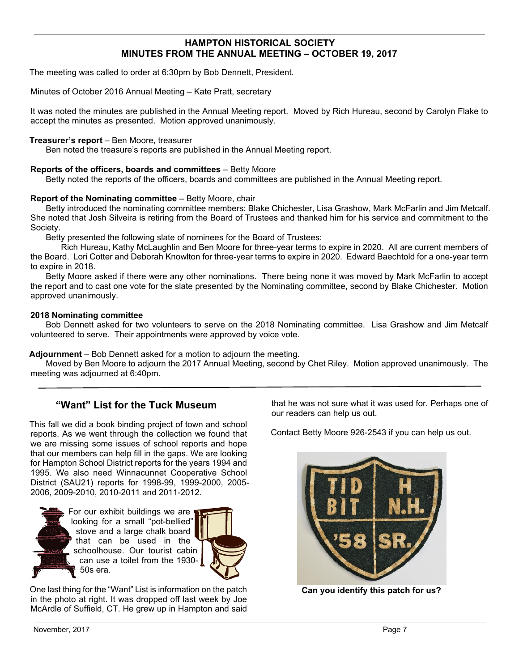#### **HAMPTON HISTORICAL SOCIETY MINUTES FROM THE ANNUAL MEETING – OCTOBER 19, 2017**

The meeting was called to order at 6:30pm by Bob Dennett, President.

Minutes of October 2016 Annual Meeting – Kate Pratt, secretary

It was noted the minutes are published in the Annual Meeting report. Moved by Rich Hureau, second by Carolyn Flake to accept the minutes as presented. Motion approved unanimously.

#### **Treasurer's report** – Ben Moore, treasurer

Ben noted the treasure's reports are published in the Annual Meeting report.

#### **Reports of the officers, boards and committees** – Betty Moore

Betty noted the reports of the officers, boards and committees are published in the Annual Meeting report.

#### **Report of the Nominating committee** – Betty Moore, chair

 Betty introduced the nominating committee members: Blake Chichester, Lisa Grashow, Mark McFarlin and Jim Metcalf. She noted that Josh Silveira is retiring from the Board of Trustees and thanked him for his service and commitment to the Society.

Betty presented the following slate of nominees for the Board of Trustees:

 Rich Hureau, Kathy McLaughlin and Ben Moore for three-year terms to expire in 2020. All are current members of the Board. Lori Cotter and Deborah Knowlton for three-year terms to expire in 2020. Edward Baechtold for a one-year term to expire in 2018.

 Betty Moore asked if there were any other nominations. There being none it was moved by Mark McFarlin to accept the report and to cast one vote for the slate presented by the Nominating committee, second by Blake Chichester. Motion approved unanimously.

#### **2018 Nominating committee**

 Bob Dennett asked for two volunteers to serve on the 2018 Nominating committee. Lisa Grashow and Jim Metcalf volunteered to serve. Their appointments were approved by voice vote.

**Adjournment** – Bob Dennett asked for a motion to adjourn the meeting.

 Moved by Ben Moore to adjourn the 2017 Annual Meeting, second by Chet Riley. Motion approved unanimously. The meeting was adjourned at 6:40pm.

## **"Want" List for the Tuck Museum**

This fall we did a book binding project of town and school reports. As we went through the collection we found that we are missing some issues of school reports and hope that our members can help fill in the gaps. We are looking for Hampton School District reports for the years 1994 and 1995. We also need Winnacunnet Cooperative School District (SAU21) reports for 1998-99, 1999-2000, 2005- 2006, 2009-2010, 2010-2011 and 2011-2012.





One last thing for the "Want" List is information on the patch in the photo at right. It was dropped off last week by Joe McArdle of Suffield, CT. He grew up in Hampton and said that he was not sure what it was used for. Perhaps one of our readers can help us out.

Contact Betty Moore 926-2543 if you can help us out.



**Can you identify this patch for us?**